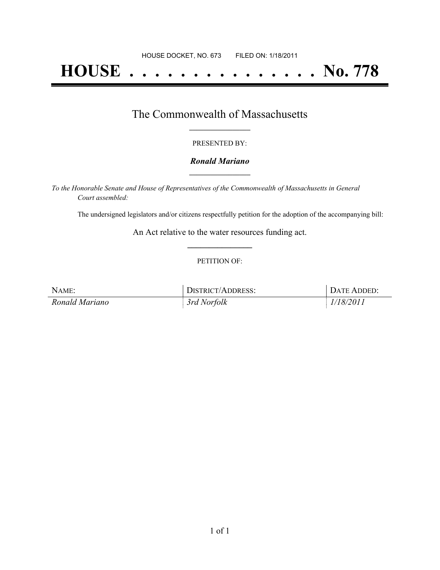# **HOUSE . . . . . . . . . . . . . . . No. 778**

## The Commonwealth of Massachusetts **\_\_\_\_\_\_\_\_\_\_\_\_\_\_\_\_\_**

#### PRESENTED BY:

#### *Ronald Mariano* **\_\_\_\_\_\_\_\_\_\_\_\_\_\_\_\_\_**

*To the Honorable Senate and House of Representatives of the Commonwealth of Massachusetts in General Court assembled:*

The undersigned legislators and/or citizens respectfully petition for the adoption of the accompanying bill:

An Act relative to the water resources funding act. **\_\_\_\_\_\_\_\_\_\_\_\_\_\_\_**

#### PETITION OF:

| NAME:          | <b>DISTRICT/ADDRESS:</b> | DATE ADDED: |
|----------------|--------------------------|-------------|
| Ronald Mariano | 3rd Norfolk              | 1/18/2011   |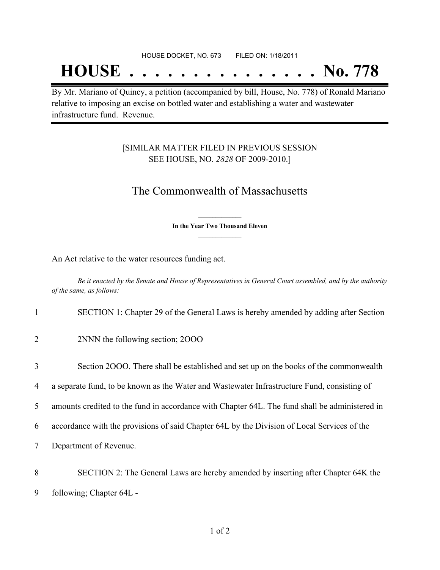## **HOUSE . . . . . . . . . . . . . . . No. 778**

By Mr. Mariano of Quincy, a petition (accompanied by bill, House, No. 778) of Ronald Mariano relative to imposing an excise on bottled water and establishing a water and wastewater infrastructure fund. Revenue.

### [SIMILAR MATTER FILED IN PREVIOUS SESSION SEE HOUSE, NO. *2828* OF 2009-2010.]

## The Commonwealth of Massachusetts

**\_\_\_\_\_\_\_\_\_\_\_\_\_\_\_ In the Year Two Thousand Eleven \_\_\_\_\_\_\_\_\_\_\_\_\_\_\_**

An Act relative to the water resources funding act.

Be it enacted by the Senate and House of Representatives in General Court assembled, and by the authority *of the same, as follows:*

1 SECTION 1: Chapter 29 of the General Laws is hereby amended by adding after Section

2 2NNN the following section; 2000 –

 Section 2OOO. There shall be established and set up on the books of the commonwealth a separate fund, to be known as the Water and Wastewater Infrastructure Fund, consisting of amounts credited to the fund in accordance with Chapter 64L. The fund shall be administered in accordance with the provisions of said Chapter 64L by the Division of Local Services of the Department of Revenue.

8 SECTION 2: The General Laws are hereby amended by inserting after Chapter 64K the 9 following; Chapter 64L -